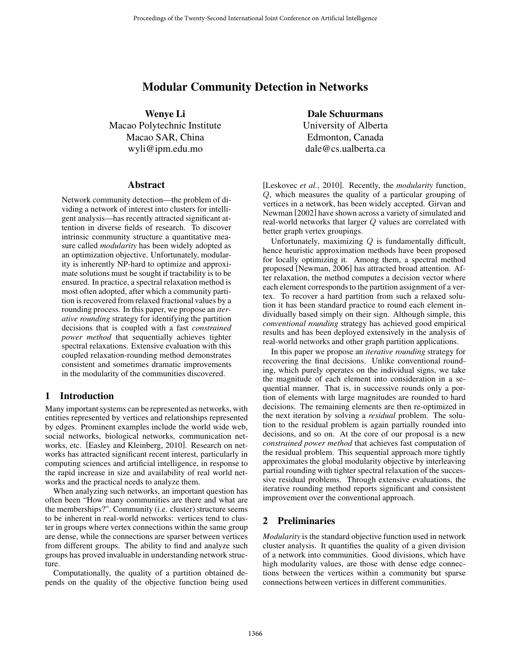# Modular Community Detection in Networks

Wenye Li Macao Polytechnic Institute Macao SAR, China wyli@ipm.edu.mo

### **Abstract**

Network community detection—the problem of dividing a network of interest into clusters for intelligent analysis—has recently attracted significant attention in diverse fields of research. To discover intrinsic community structure a quantitative measure called *modularity* has been widely adopted as an optimization objective. Unfortunately, modularity is inherently NP-hard to optimize and approximate solutions must be sought if tractability is to be ensured. In practice, a spectral relaxation method is most often adopted, after which a community partition is recovered from relaxed fractional values by a rounding process. In this paper, we propose an *iterative rounding* strategy for identifying the partition decisions that is coupled with a fast *constrained power method* that sequentially achieves tighter spectral relaxations. Extensive evaluation with this coupled relaxation-rounding method demonstrates consistent and sometimes dramatic improvements in the modularity of the communities discovered.

## 1 Introduction

Many important systems can be represented as networks, with entities represented by vertices and relationships represented by edges. Prominent examples include the world wide web, social networks, biological networks, communication networks, etc. [Easley and Kleinberg, 2010]. Research on networks has attracted significant recent interest, particularly in computing sciences and artificial intelligence, in response to the rapid increase in size and availability of real world networks and the practical needs to analyze them.

When analyzing such networks, an important question has often been "How many communities are there and what are the memberships?". Community (i.e. cluster) structure seems to be inherent in real-world networks: vertices tend to cluster in groups where vertex connections within the same group are dense, while the connections are sparser between vertices from different groups. The ability to find and analyze such groups has proved invaluable in understanding network structure.

Computationally, the quality of a partition obtained depends on the quality of the objective function being used

Dale Schuurmans University of Alberta Edmonton, Canada dale@cs.ualberta.ca

[Leskovec *et al.*, 2010]. Recently, the *modularity* function, Q, which measures the quality of a particular grouping of vertices in a network, has been widely accepted. Girvan and Newman [2002] have shown across a variety of simulated and real-world networks that larger Q values are correlated with better graph vertex groupings.

Unfortunately, maximizing  $Q$  is fundamentally difficult, hence heuristic approximation methods have been proposed for locally optimizing it. Among them, a spectral method proposed [Newman, 2006] has attracted broad attention. After relaxation, the method computes a decision vector where each element corresponds to the partition assignment of a vertex. To recover a hard partition from such a relaxed solution it has been standard practice to round each element individually based simply on their sign. Although simple, this *conventional rounding* strategy has achieved good empirical results and has been deployed extensively in the analysis of real-world networks and other graph partition applications.

In this paper we propose an *iterative rounding* strategy for recovering the final decisions. Unlike conventional rounding, which purely operates on the individual signs, we take the magnitude of each element into consideration in a sequential manner. That is, in successive rounds only a portion of elements with large magnitudes are rounded to hard decisions. The remaining elements are then re-optimized in the next iteration by solving a *residual* problem. The solution to the residual problem is again partially rounded into decisions, and so on. At the core of our proposal is a new *constrained power method* that achieves fast computation of the residual problem. This sequential approach more tightly approximates the global modularity objective by interleaving partial rounding with tighter spectral relaxation of the successive residual problems. Through extensive evaluations, the iterative rounding method reports significant and consistent improvement over the conventional approach.

## 2 Preliminaries

*Modularity* is the standard objective function used in network cluster analysis. It quantifies the quality of a given division of a network into communities. Good divisions, which have high modularity values, are those with dense edge connections between the vertices within a community but sparse connections between vertices in different communities.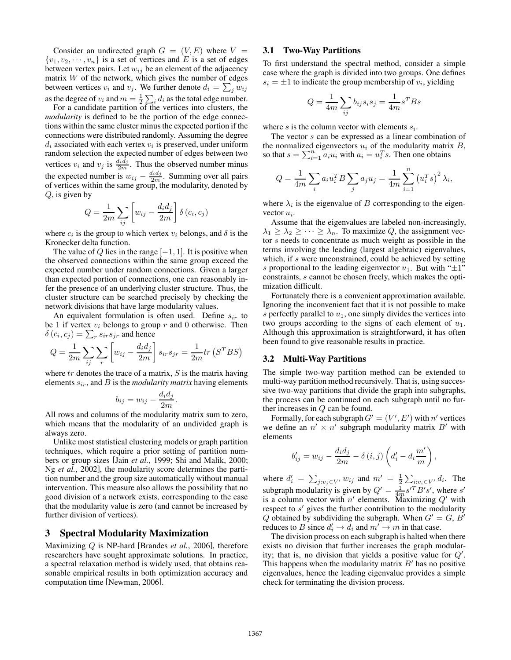Consider an undirected graph  $G = (V, E)$  where  $V =$  $\{v_1, v_2, \dots, v_n\}$  is a set of vertices and E is a set of edges between vertex pairs. Let  $w_{ij}$  be an element of the adjacency matrix  $W$  of the network, which gives the number of edges between vertices  $v_i$  and  $v_j$ . We further denote  $d_i = \sum_j w_{ij}$ as the degree of  $v_i$  and  $m = \frac{1}{2} \sum_i d_i$  as the total edge number.

For a candidate partition of the vertices into clusters, the *modularity* is defined to be the portion of the edge connections within the same cluster minus the expected portion if the connections were distributed randomly. Assuming the degree  $d_i$  associated with each vertex  $v_i$  is preserved, under uniform random selection the expected number of edges between two vertices  $v_i$  and  $v_j$  is  $\frac{d_i \hat{d}_j}{2m}$ . Thus the observed number minus the expected number is  $w_{ij} - \frac{d_i d_j}{2m}$ . Summing over all pairs of vertices within the same group, the modularity, denoted by  $Q$ , is given by

$$
Q = \frac{1}{2m} \sum_{ij} \left[ w_{ij} - \frac{d_i d_j}{2m} \right] \delta(c_i, c_j)
$$

where  $c_i$  is the group to which vertex  $v_i$  belongs, and  $\delta$  is the Kronecker delta function.

The value of Q lies in the range  $[-1, 1]$ . It is positive when the observed connections within the same group exceed the expected number under random connections. Given a larger than expected portion of connections, one can reasonably infer the presence of an underlying cluster structure. Thus, the cluster structure can be searched precisely by checking the network divisions that have large modularity values.

An equivalent formulation is often used. Define  $s_{ir}$  to be 1 if vertex  $v_i$  belongs to group r and 0 otherwise. Then  $\delta(c_i, c_j) = \sum_{r} s_{ir} s_{jr}$  and hence

$$
Q = \frac{1}{2m} \sum_{ij} \sum_{r} \left[ w_{ij} - \frac{d_i d_j}{2m} \right] s_{ir} s_{jr} = \frac{1}{2m} tr \left( S^T B S \right)
$$

where  $tr$  denotes the trace of a matrix,  $S$  is the matrix having elements  $s_{ir}$ , and  $B$  is the *modularity matrix* having elements

$$
b_{ij} = w_{ij} - \frac{d_i d_j}{2m}.
$$

All rows and columns of the modularity matrix sum to zero, which means that the modularity of an undivided graph is always zero.

Unlike most statistical clustering models or graph partition techniques, which require a prior setting of partition numbers or group sizes [Jain *et al.*, 1999; Shi and Malik, 2000; Ng *et al.*, 2002], the modularity score determines the partition number and the group size automatically without manual intervention. This measure also allows the possibility that no good division of a network exists, corresponding to the case that the modularity value is zero (and cannot be increased by further division of vertices).

### 3 Spectral Modularity Maximization

Maximizing Q is NP-hard [Brandes *et al.*, 2006], therefore researchers have sought approximate solutions. In practice, a spectral relaxation method is widely used, that obtains reasonable empirical results in both optimization accuracy and computation time [Newman, 2006].

#### 3.1 Two-Way Partitions

To first understand the spectral method, consider a simple case where the graph is divided into two groups. One defines  $s_i = \pm 1$  to indicate the group membership of  $v_i$ , yielding

$$
Q = \frac{1}{4m} \sum_{ij} b_{ij} s_i s_j = \frac{1}{4m} s^T B s
$$

where s is the column vector with elements  $s_i$ .

The vector s can be expressed as a linear combination of the normalized eigenvectors  $u_i$  of the modularity matrix  $B$ , so that  $s = \sum_{i=1}^{n} a_i u_i$  with  $a_i = u_i^T s$ . Then one obtains

$$
Q = \frac{1}{4m} \sum_{i} a_i u_i^T B \sum_{j} a_j u_j = \frac{1}{4m} \sum_{i=1}^{n} (u_i^T s)^2 \lambda_i,
$$

where  $\lambda_i$  is the eigenvalue of B corresponding to the eigenvector  $u_i$ .

Assume that the eigenvalues are labeled non-increasingly,  $\lambda_1 \geq \lambda_2 \geq \cdots \geq \lambda_n$ . To maximize Q, the assignment vector s needs to concentrate as much weight as possible in the terms involving the leading (largest algebraic) eigenvalues, which, if s were unconstrained, could be achieved by setting s proportional to the leading eigenvector  $u_1$ . But with " $\pm 1$ " constraints, s cannot be chosen freely, which makes the optimization difficult.

Fortunately there is a convenient approximation available. Ignoring the inconvenient fact that it is not possible to make s perfectly parallel to  $u_1$ , one simply divides the vertices into two groups according to the signs of each element of  $u_1$ . Although this approximation is straightforward, it has often been found to give reasonable results in practice.

#### 3.2 Multi-Way Partitions

The simple two-way partition method can be extended to multi-way partition method recursively. That is, using successive two-way partitions that divide the graph into subgraphs, the process can be continued on each subgraph until no further increases in Q can be found.

Formally, for each subgraph  $G' = (V', E')$  with n' vertices we define an  $n' \times n'$  subgraph modularity matrix B' with elements

$$
b'_{ij} = w_{ij} - \frac{d_i d_j}{2m} - \delta(i, j) \left( d'_i - d_i \frac{m'}{m} \right),
$$

where  $d'_i = \sum_{j:v_j \in V'} w_{ij}$  and  $m' = \frac{1}{2} \sum_{i:v_i \in V'} d_i$ . The subgraph modularity is given by  $Q' = \frac{1}{4m} s'^T B' s'$ , where s' is a column vector with  $n'$  elements. Maximizing  $Q'$  with respect to  $s'$  gives the further contribution to the modularity Q obtained by subdividing the subgraph. When  $G' = G, B'$ reduces to B since  $d'_i \rightarrow \overline{d}_i$  and  $m' \rightarrow m$  in that case.

The division process on each subgraph is halted when there exists no division that further increases the graph modularity; that is, no division that yields a positive value for  $Q'$ . This happens when the modularity matrix  $B'$  has no positive eigenvalues, hence the leading eigenvalue provides a simple check for terminating the division process.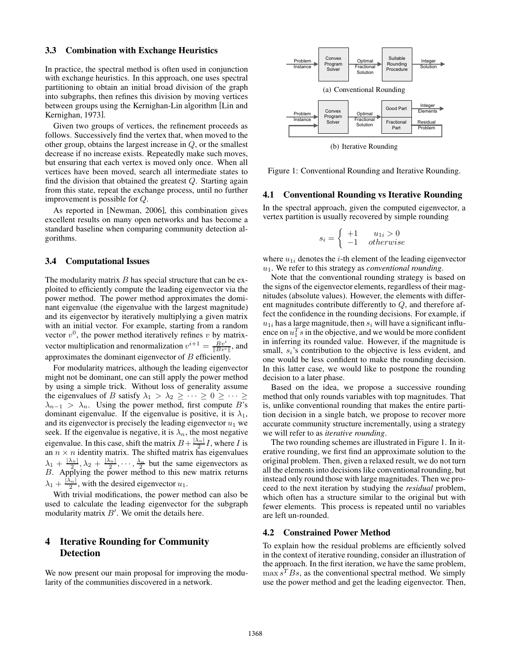#### 3.3 Combination with Exchange Heuristics

In practice, the spectral method is often used in conjunction with exchange heuristics. In this approach, one uses spectral partitioning to obtain an initial broad division of the graph into subgraphs, then refines this division by moving vertices between groups using the Kernighan-Lin algorithm [Lin and Kernighan, 1973].

Given two groups of vertices, the refinement proceeds as follows. Successively find the vertex that, when moved to the other group, obtains the largest increase in  $Q$ , or the smallest decrease if no increase exists. Repeatedly make such moves, but ensuring that each vertex is moved only once. When all vertices have been moved, search all intermediate states to find the division that obtained the greatest  $Q$ . Starting again from this state, repeat the exchange process, until no further improvement is possible for Q.

As reported in [Newman, 2006], this combination gives excellent results on many open networks and has become a standard baseline when comparing community detection algorithms.

#### 3.4 Computational Issues

The modularity matrix  $B$  has special structure that can be exploited to efficiently compute the leading eigenvector via the power method. The power method approximates the dominant eigenvalue (the eigenvalue with the largest magnitude) and its eigenvector by iteratively multiplying a given matrix with an initial vector. For example, starting from a random vector  $v^0$ , the power method iteratively refines v by matrixvector multiplication and renormalization  $v^{i+1} = \frac{Bv^i}{\|Bv^i\|}$ , and approximates the dominant eigenvector of  $B$  efficiently.

For modularity matrices, although the leading eigenvector might not be dominant, one can still apply the power method by using a simple trick. Without loss of generality assume the eigenvalues of B satisfy  $\lambda_1 > \lambda_2 \geq \cdots \geq 0 \geq \cdots \geq$  $\lambda_{n-1} > \lambda_n$ . Using the power method, first compute B's dominant eigenvalue. If the eigenvalue is positive, it is  $\lambda_1$ , and its eigenvector is precisely the leading eigenvector  $u_1$  we seek. If the eigenvalue is negative, it is  $\lambda_n$ , the most negative eigenvalue. In this case, shift the matrix  $B + \frac{|\lambda_n|}{2}I$ , where I is an  $n \times n$  identity matrix. The shifted matrix has eigenvalues  $\lambda_1 + \frac{|\lambda_n|}{2}, \lambda_2 + \frac{|\lambda_n|}{2}, \cdots, \frac{\lambda_n}{2}$  but the same eigenvectors as  $B$ . Applying the power method to this new matrix returns  $\lambda_1 + \frac{|\lambda_n|}{2}$ , with the desired eigenvector  $u_1$ .

With trivial modifications, the power method can also be used to calculate the leading eigenvector for the subgraph modularity matrix  $B'$ . We omit the details here.

## 4 Iterative Rounding for Community Detection

We now present our main proposal for improving the modularity of the communities discovered in a network.



Figure 1: Conventional Rounding and Iterative Rounding.

#### 4.1 Conventional Rounding vs Iterative Rounding

In the spectral approach, given the computed eigenvector, a vertex partition is usually recovered by simple rounding

$$
s_i = \begin{cases} +1 & u_{1i} > 0\\ -1 & otherwise \end{cases}
$$

where  $u_{1i}$  denotes the *i*-th element of the leading eigenvector  $u_1$ . We refer to this strategy as *conventional rounding*.

Note that the conventional rounding strategy is based on the signs of the eigenvector elements, regardless of their magnitudes (absolute values). However, the elements with different magnitudes contribute differently to  $Q$ , and therefore affect the confidence in the rounding decisions. For example, if  $u_{1i}$  has a large magnitude, then  $s_i$  will have a significant influence on  $u_1^T s$  in the objective, and we would be more confident in inferring its rounded value. However, if the magnitude is small,  $s_i$ 's contribution to the objective is less evident, and one would be less confident to make the rounding decision. In this latter case, we would like to postpone the rounding decision to a later phase.

Based on the idea, we propose a successive rounding method that only rounds variables with top magnitudes. That is, unlike conventional rounding that makes the entire partition decision in a single batch, we propose to recover more accurate community structure incrementally, using a strategy we will refer to as *iterative rounding*.

The two rounding schemes are illustrated in Figure 1. In iterative rounding, we first find an approximate solution to the original problem. Then, given a relaxed result, we do not turn all the elements into decisions like conventional rounding, but instead only round those with large magnitudes. Then we proceed to the next iteration by studying the *residual* problem, which often has a structure similar to the original but with fewer elements. This process is repeated until no variables are left un-rounded.

#### 4.2 Constrained Power Method

To explain how the residual problems are efficiently solved in the context of iterative rounding, consider an illustration of the approach. In the first iteration, we have the same problem,  $\max s<sup>T</sup>Bs$ , as the conventional spectral method. We simply use the power method and get the leading eigenvector. Then,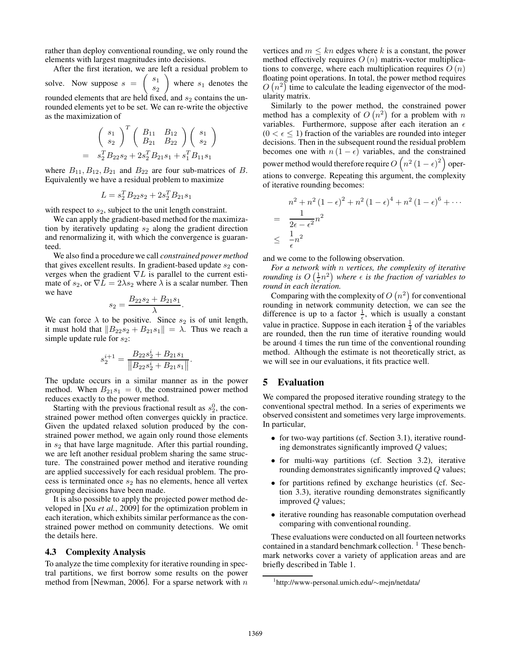rather than deploy conventional rounding, we only round the elements with largest magnitudes into decisions.

After the first iteration, we are left a residual problem to solve. Now suppose  $s = \begin{pmatrix} s_1 \\ s_2 \end{pmatrix}$  $\overline{s}_2$ where  $s_1$  denotes the rounded elements that are held fixed, and  $s_2$  contains the unrounded elements yet to be set. We can re-write the objective as the maximization of

$$
\begin{pmatrix}\ns_1 \\
s_2\n\end{pmatrix}^T \begin{pmatrix}\nB_{11} & B_{12} \\
B_{21} & B_{22}\n\end{pmatrix} \begin{pmatrix}\ns_1 \\
s_2\n\end{pmatrix}
$$
\n
$$
= s_2^T B_{22} s_2 + 2s_2^T B_{21} s_1 + s_1^T B_{11} s_1
$$

where  $B_{11}, B_{12}, B_{21}$  and  $B_{22}$  are four sub-matrices of B. Equivalently we have a residual problem to maximize

$$
L = s_2^T B_{22} s_2 + 2s_2^T B_{21} s_1
$$

with respect to  $s_2$ , subject to the unit length constraint.

We can apply the gradient-based method for the maximization by iteratively updating  $s_2$  along the gradient direction and renormalizing it, with which the convergence is guaranteed.

We also find a procedure we call *constrained power method* that gives excellent results. In gradient-based update  $s_2$  converges when the gradient  $\nabla L$  is parallel to the current estimate of  $s_2$ , or  $\nabla L = 2\lambda s_2$  where  $\lambda$  is a scalar number. Then we have

$$
s_2 = \frac{B_{22}s_2 + B_{21}s_1}{\lambda}.
$$

We can force  $\lambda$  to be positive. Since  $s_2$  is of unit length, it must hold that  $||B_{22}s_2 + B_{21}s_1|| = \lambda$ . Thus we reach a simple update rule for  $s_2$ :

$$
s_2^{i+1} = \frac{B_{22}s_2^i + B_{21}s_1}{\left\|B_{22}s_2^i + B_{21}s_1\right\|}.
$$

The update occurs in a similar manner as in the power method. When  $B_{21}s_1 = 0$ , the constrained power method reduces exactly to the power method.

Starting with the previous fractional result as  $s_2^0$ , the constrained power method often converges quickly in practice. Given the updated relaxed solution produced by the constrained power method, we again only round those elements in  $s_2$  that have large magnitude. After this partial rounding, we are left another residual problem sharing the same structure. The constrained power method and iterative rounding are applied successively for each residual problem. The process is terminated once  $s_2$  has no elements, hence all vertex grouping decisions have been made.

It is also possible to apply the projected power method developed in [Xu *et al.*, 2009] for the optimization problem in each iteration, which exhibits similar performance as the constrained power method on community detections. We omit the details here.

#### 4.3 Complexity Analysis

To analyze the time complexity for iterative rounding in spectral partitions, we first borrow some results on the power method from [Newman, 2006]. For a sparse network with  $n$  vertices and  $m \leq kn$  edges where k is a constant, the power method effectively requires  $O(n)$  matrix-vector multiplications to converge, where each multiplication requires  $O(n)$ floating point operations. In total, the power method requires  $O(n^2)$  time to calculate the leading eigenvector of the modularity matrix.

Similarly to the power method, the constrained power method has a complexity of  $O(n^2)$  for a problem with n variables. Furthermore, suppose after each iteration an  $\epsilon$  $(0 < \epsilon \leq 1)$  fraction of the variables are rounded into integer decisions. Then in the subsequent round the residual problem becomes one with  $n(1 - \epsilon)$  variables, and the constrained power method would therefore require  $O\left(n^2\left(1-\epsilon\right)^2\right)$  operations to converge. Repeating this argument, the complexity of iterative rounding becomes:

$$
n^{2} + n^{2} (1 - \epsilon)^{2} + n^{2} (1 - \epsilon)^{4} + n^{2} (1 - \epsilon)^{6} + \cdots
$$
  
= 
$$
\frac{1}{2\epsilon - \epsilon^{2}} n^{2}
$$
  

$$
\leq \frac{1}{\epsilon} n^{2}
$$

and we come to the following observation.

*For a network with* n *vertices, the complexity of iterative rounding is*  $O\left(\frac{1}{\epsilon}n^2\right)$  where  $\epsilon$  is the fraction of variables to *round in each iteration.*

Comparing with the complexity of  $O(n^2)$  for conventional rounding in network community detection, we can see the difference is up to a factor  $\frac{1}{\epsilon}$ , which is usually a constant value in practice. Suppose in each iteration  $\frac{1}{4}$  of the variables are rounded, then the run time of iterative rounding would be around 4 times the run time of the conventional rounding method. Although the estimate is not theoretically strict, as we will see in our evaluations, it fits practice well.

## 5 Evaluation

We compared the proposed iterative rounding strategy to the conventional spectral method. In a series of experiments we observed consistent and sometimes very large improvements. In particular,

- for two-way partitions (cf. Section 3.1), iterative rounding demonstrates significantly improved Q values;
- for multi-way partitions (cf. Section 3.2), iterative rounding demonstrates significantly improved Q values;
- for partitions refined by exchange heuristics (cf. Section 3.3), iterative rounding demonstrates significantly improved Q values;
- iterative rounding has reasonable computation overhead comparing with conventional rounding.

These evaluations were conducted on all fourteen networks contained in a standard benchmark collection. <sup>1</sup> These benchmark networks cover a variety of application areas and are briefly described in Table 1.

<sup>1</sup> http://www-personal.umich.edu/∼mejn/netdata/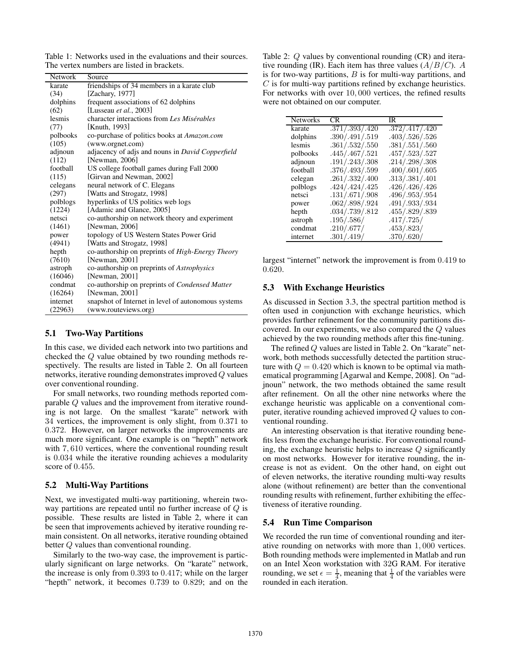Table 1: Networks used in the evaluations and their sources. The vertex numbers are listed in brackets.

| Network  | Source                                              |
|----------|-----------------------------------------------------|
| karate   | friendships of 34 members in a karate club          |
| (34)     | [Zachary, 1977]                                     |
| dolphins | frequent associations of 62 dolphins                |
| (62)     | [Lusseau et al., 2003]                              |
| lesmis   | character interactions from Les Misérables          |
| (77)     | [Knuth, 1993]                                       |
| polbooks | co-purchase of politics books at Amazon.com         |
| (105)    | (www.orgnet.com)                                    |
| adjnoun  | adjacency of adjs and nouns in David Copperfield    |
| (112)    | [Newman, 2006]                                      |
| football | US college football games during Fall 2000          |
| (115)    | [Girvan and Newman, 2002]                           |
| celegans | neural network of C. Elegans                        |
| (297)    | [Watts and Strogatz, 1998]                          |
| polblogs | hyperlinks of US politics web logs                  |
| (1224)   | [Adamic and Glance, 2005]                           |
| netsci   | co-authorship on network theory and experiment      |
| (1461)   | [Newman, 2006]                                      |
| power    | topology of US Western States Power Grid            |
| (4941)   | [Watts and Strogatz, 1998]                          |
| hepth    | co-authorship on preprints of High-Energy Theory    |
| (7610)   | [Newman, 2001]                                      |
| astroph  | co-authorship on preprints of Astrophysics          |
| (16046)  | [Newman, 2001]                                      |
| condmat  | co-authorship on preprints of Condensed Matter      |
| (16264)  | [Newman, 2001]                                      |
| internet | snapshot of Internet in level of autonomous systems |
| (22963)  | (www.routeviews.org)                                |

#### 5.1 Two-Way Partitions

In this case, we divided each network into two partitions and checked the Q value obtained by two rounding methods respectively. The results are listed in Table 2. On all fourteen networks, iterative rounding demonstrates improved Q values over conventional rounding.

For small networks, two rounding methods reported comparable Q values and the improvement from iterative rounding is not large. On the smallest "karate" network with 34 vertices, the improvement is only slight, from 0.371 to 0.372. However, on larger networks the improvements are much more significant. One example is on "hepth" network with 7,610 vertices, where the conventional rounding result is 0.034 while the iterative rounding achieves a modularity score of 0.455.

#### 5.2 Multi-Way Partitions

Next, we investigated multi-way partitioning, wherein twoway partitions are repeated until no further increase of Q is possible. These results are listed in Table 2, where it can be seen that improvements achieved by iterative rounding remain consistent. On all networks, iterative rounding obtained better Q values than conventional rounding.

Similarly to the two-way case, the improvement is particularly significant on large networks. On "karate" network, the increase is only from 0.393 to 0.417; while on the larger "hepth" network, it becomes 0.739 to 0.829; and on the

Table 2: Q values by conventional rounding (CR) and iterative rounding (IR). Each item has three values  $(A/B/C)$ . A is for two-way partitions,  $B$  is for multi-way partitions, and  $C$  is for multi-way partitions refined by exchange heuristics. For networks with over 10, 000 vertices, the refined results were not obtained on our computer.

| Networks | CR.            | IR             |
|----------|----------------|----------------|
| karate   | .371/.393/.420 | .372/.417/.420 |
| dolphins | .390/.491/.519 | .403/.526/.526 |
| lesmis   | .361/.532/.550 | .381/.551/.560 |
| polbooks | .445/.467/.521 | .457/.523/.527 |
| adjnoun  | .191/.243/.308 | .214/.298/.308 |
| football | .376/.493/.599 | .400/.601/.605 |
| celegan  | .261/.332/.400 | .313/.381/.401 |
| polblogs | .424/.424/.425 | .426/.426/.426 |
| netsci   | .131/.671/.908 | .496/.953/.954 |
| power    | .062/.898/.924 | .491/.933/.934 |
| hepth    | .034/.739/.812 | .455/.829/.839 |
| astroph  | .195/.586/     | .417/.725/     |
| condmat  | .210/.677/     | .453/.823/     |
| internet | .301/.419/     | .370/.620/     |

largest "internet" network the improvement is from 0.419 to 0.620.

### 5.3 With Exchange Heuristics

As discussed in Section 3.3, the spectral partition method is often used in conjunction with exchange heuristics, which provides further refinement for the community partitions discovered. In our experiments, we also compared the Q values achieved by the two rounding methods after this fine-tuning.

The refined Q values are listed in Table 2. On "karate" network, both methods successfully detected the partition structure with  $Q = 0.420$  which is known to be optimal via mathematical programming [Agarwal and Kempe, 2008]. On "adjnoun" network, the two methods obtained the same result after refinement. On all the other nine networks where the exchange heuristic was applicable on a conventional computer, iterative rounding achieved improved Q values to conventional rounding.

An interesting observation is that iterative rounding benefits less from the exchange heuristic. For conventional rounding, the exchange heuristic helps to increase Q significantly on most networks. However for iterative rounding, the increase is not as evident. On the other hand, on eight out of eleven networks, the iterative rounding multi-way results alone (without refinement) are better than the conventional rounding results with refinement, further exhibiting the effectiveness of iterative rounding.

### 5.4 Run Time Comparison

We recorded the run time of conventional rounding and iterative rounding on networks with more than 1, 000 vertices. Both rounding methods were implemented in Matlab and run on an Intel Xeon workstation with 32G RAM. For iterative rounding, we set  $\epsilon = \frac{1}{4}$ , meaning that  $\frac{1}{4}$  of the variables were rounded in each iteration.